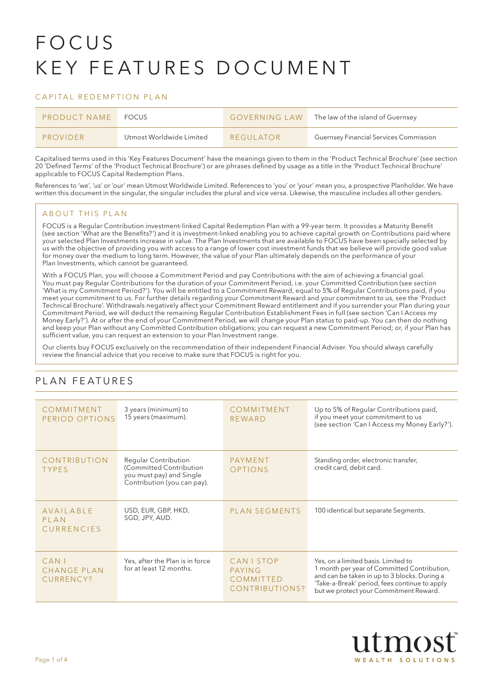# FOCUS KEY FEATURES DOCUMENT

#### CAPITAL REDEMPTION PLAN

| PRODUCT NAME | <b>FOCUS</b>             | <b>GOVERNING LAW</b> | The law of the island of Guernsey      |  |  |
|--------------|--------------------------|----------------------|----------------------------------------|--|--|
| PROVIDER     | Utmost Worldwide Limited | REGULATOR            | Guernsey Financial Services Commission |  |  |

Capitalised terms used in this 'Key Features Document' have the meanings given to them in the 'Product Technical Brochure' (see section 20 'Defined Terms' of the 'Product Technical Brochure') or are phrases defined by usage as a title in the 'Product Technical Brochure' applicable to FOCUS Capital Redemption Plans.

References to 'we', 'us' or 'our' mean Utmost Worldwide Limited. References to 'you' or 'your' mean you, a prospective Planholder. We have written this document in the singular, the singular includes the plural and vice versa. Likewise, the masculine includes all other genders.

#### ABOUT THIS PLAN

FOCUS is a Regular Contribution investment-linked Capital Redemption Plan with a 99-year term. It provides a Maturity Benefit (see section 'What are the Benefits?') and it is investment-linked enabling you to achieve capital growth on Contributions paid where your selected Plan Investments increase in value. The Plan Investments that are available to FOCUS have been specially selected by us with the objective of providing you with access to a range of lower cost investment funds that we believe will provide good value for money over the medium to long term. However, the value of your Plan ultimately depends on the performance of your Plan Investments, which cannot be guaranteed.

With a FOCUS Plan, you will choose a Commitment Period and pay Contributions with the aim of achieving a financial goal. You must pay Regular Contributions for the duration of your Commitment Period, i.e. your Committed Contribution (see section 'What is my Commitment Period?'). You will be entitled to a Commitment Reward, equal to 5% of Regular Contributions paid, if you meet your commitment to us. For further details regarding your Commitment Reward and your commitment to us, see the 'Product Technical Brochure'. Withdrawals negatively affect your Commitment Reward entitlement and if you surrender your Plan during your Commitment Period, we will deduct the remaining Regular Contribution Establishment Fees in full (see section 'Can I Access my Money Early?'). At or after the end of your Commitment Period, we will change your Plan status to paid-up. You can then do nothing and keep your Plan without any Committed Contribution obligations; you can request a new Commitment Period; or, if your Plan has sufficient value, you can request an extension to your Plan Investment range.

Our clients buy FOCUS exclusively on the recommendation of their independent Financial Adviser. You should always carefully review the financial advice that you receive to make sure that FOCUS is right for you.

#### PLAN FEATURES

| COMMITMENT<br>PERIOD OPTIONS                        | 3 years (minimum) to<br>15 years (maximum).                                                                       | COMMITMENT<br>REWARD                                       | Up to 5% of Regular Contributions paid,<br>if you meet your commitment to us<br>(see section 'Can I Access my Money Early?').                                                                                                 |
|-----------------------------------------------------|-------------------------------------------------------------------------------------------------------------------|------------------------------------------------------------|-------------------------------------------------------------------------------------------------------------------------------------------------------------------------------------------------------------------------------|
| <b>CONTRIBUTION</b><br><b>TYPES</b>                 | <b>Regular Contribution</b><br>(Committed Contribution<br>you must pay) and Single<br>Contribution (you can pay). | <b>PAYMENT</b><br>OPTIONS                                  | Standing order, electronic transfer,<br>credit card, debit card.                                                                                                                                                              |
| AVAILABLE<br>PLAN<br><b>CURRENCIES</b>              | USD, EUR, GBP, HKD,<br>SGD, JPY, AUD.                                                                             | <b>PLAN SEGMENTS</b>                                       | 100 identical but separate Segments.                                                                                                                                                                                          |
| CAN <sub>I</sub><br><b>CHANGE PLAN</b><br>CURRENCY? | Yes, after the Plan is in force<br>for at least 12 months.                                                        | <b>CAN I STOP</b><br>PAYING<br>COMMITTED<br>CONTRIBUTIONS? | Yes, on a limited basis. Limited to<br>1 month per year of Committed Contribution,<br>and can be taken in up to 3 blocks. During a<br>'Take-a-Break' period, fees continue to apply<br>but we protect your Commitment Reward. |

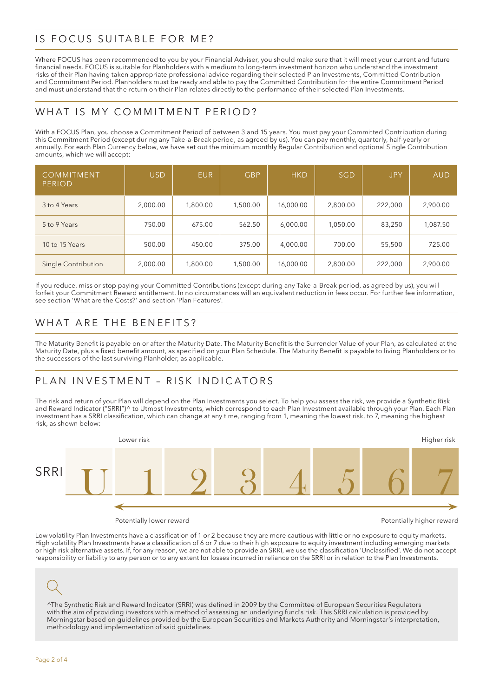# IS FOCUS SUITABLE FOR ME?

Where FOCUS has been recommended to you by your Financial Adviser, you should make sure that it will meet your current and future financial needs. FOCUS is suitable for Planholders with a medium to long-term investment horizon who understand the investment risks of their Plan having taken appropriate professional advice regarding their selected Plan Investments, Committed Contribution and Commitment Period. Planholders must be ready and able to pay the Committed Contribution for the entire Commitment Period and must understand that the return on their Plan relates directly to the performance of their selected Plan Investments.

# WHAT IS MY COMMITMENT PERIOD?

With a FOCUS Plan, you choose a Commitment Period of between 3 and 15 years. You must pay your Committed Contribution during this Commitment Period (except during any Take-a-Break period, as agreed by us). You can pay monthly, quarterly, half-yearly or annually. For each Plan Currency below, we have set out the minimum monthly Regular Contribution and optional Single Contribution amounts, which we will accept:

| COMMITMENT<br>PERIOD' | <b>USD</b> | <b>EUR</b> | <b>GBP</b> | <b>HKD</b> | <b>SGD</b> | <b>JPY</b> | <b>AUD</b> |
|-----------------------|------------|------------|------------|------------|------------|------------|------------|
| 3 to 4 Years          | 2,000.00   | 1,800.00   | 1,500.00   | 16,000.00  | 2,800.00   | 222,000    | 2,900.00   |
| 5 to 9 Years          | 750.00     | 675.00     | 562.50     | 6,000.00   | 1,050.00   | 83,250     | 1,087.50   |
| 10 to 15 Years        | 500.00     | 450.00     | 375.00     | 4,000.00   | 700.00     | 55,500     | 725.00     |
| Single Contribution   | 2,000.00   | 1,800.00   | 1,500.00   | 16,000.00  | 2,800.00   | 222,000    | 2,900.00   |

If you reduce, miss or stop paying your Committed Contributions (except during any Take-a-Break period, as agreed by us), you will forfeit your Commitment Reward entitlement. In no circumstances will an equivalent reduction in fees occur. For further fee information, see section 'What are the Costs?' and section 'Plan Features'.

# WHAT ARE THE BENEFITS?

The Maturity Benefit is payable on or after the Maturity Date. The Maturity Benefit is the Surrender Value of your Plan, as calculated at the Maturity Date, plus a fixed benefit amount, as specified on your Plan Schedule. The Maturity Benefit is payable to living Planholders or to the successors of the last surviving Planholder, as applicable.

# PLAN INVESTMENT – RISK INDICATORS

The risk and return of your Plan will depend on the Plan Investments you select. To help you assess the risk, we provide a Synthetic Risk and Reward Indicator ("SRRI")^ to Utmost Investments, which correspond to each Plan Investment available through your Plan. Each Plan Investment has a SRRI classification, which can change at any time, ranging from 1, meaning the lowest risk, to 7, meaning the highest risk, as shown below:



Potentially lower reward **Potentially lower reward** Potentially higher reward

Low volatility Plan Investments have a classification of 1 or 2 because they are more cautious with little or no exposure to equity markets. High volatility Plan Investments have a classification of 6 or 7 due to their high exposure to equity investment including emerging markets or high risk alternative assets. If, for any reason, we are not able to provide an SRRI, we use the classification 'Unclassified'. We do not accept responsibility or liability to any person or to any extent for losses incurred in reliance on the SRRI or in relation to the Plan Investments.

^The Synthetic Risk and Reward Indicator (SRRI) was defined in 2009 by the Committee of European Securities Regulators with the aim of providing investors with a method of assessing an underlying fund's risk. This SRRI calculation is provided by Morningstar based on guidelines provided by the European Securities and Markets Authority and Morningstar's interpretation, methodology and implementation of said guidelines.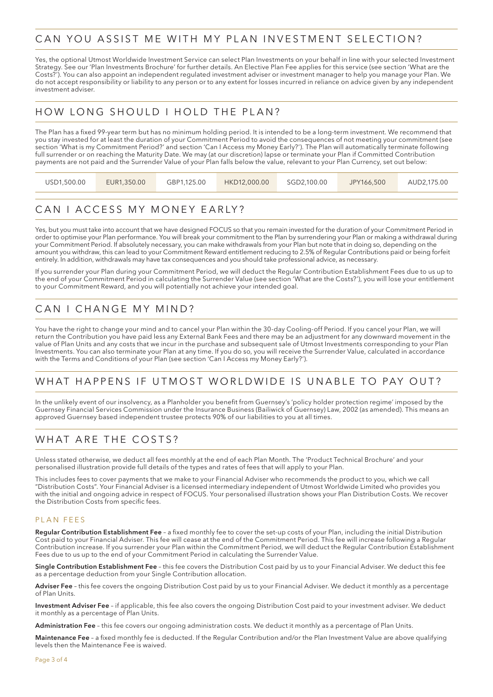#### CAN YOU ASSIST ME WITH MY PLAN INVESTMENT SELECTION?

Yes, the optional Utmost Worldwide Investment Service can select Plan Investments on your behalf in line with your selected Investment Strategy. See our 'Plan Investments Brochure' for further details. An Elective Plan Fee applies for this service (see section 'What are the Costs?'). You can also appoint an independent regulated investment adviser or investment manager to help you manage your Plan. We do not accept responsibility or liability to any person or to any extent for losses incurred in reliance on advice given by any independent investment adviser.

#### HOW LONG SHOULD I HOLD THE PLAN?

The Plan has a fixed 99-year term but has no minimum holding period. It is intended to be a long-term investment. We recommend that you stay invested for at least the duration of your Commitment Period to avoid the consequences of not meeting your commitment (see section 'What is my Commitment Period?' and section 'Can I Access my Money Early?'). The Plan will automatically terminate following full surrender or on reaching the Maturity Date. We may (at our discretion) lapse or terminate your Plan if Committed Contribution payments are not paid and the Surrender Value of your Plan falls below the value, relevant to your Plan Currency, set out below:

| USD1.500.00 | EUR1.350.00 | GBP1.125.00 | HKD12,000.00 | SGD2.100.00 | JPY166.500 | AUD2.175.00 |
|-------------|-------------|-------------|--------------|-------------|------------|-------------|
|             |             |             |              |             |            |             |

# CAN I ACCESS MY MONEY EARLY?

Yes, but you must take into account that we have designed FOCUS so that you remain invested for the duration of your Commitment Period in order to optimise your Plan performance. You will break your commitment to the Plan by surrendering your Plan or making a withdrawal during your Commitment Period. If absolutely necessary, you can make withdrawals from your Plan but note that in doing so, depending on the amount you withdraw, this can lead to your Commitment Reward entitlement reducing to 2.5% of Regular Contributions paid or being forfeit entirely. In addition, withdrawals may have tax consequences and you should take professional advice, as necessary.

If you surrender your Plan during your Commitment Period, we will deduct the Regular Contribution Establishment Fees due to us up to the end of your Commitment Period in calculating the Surrender Value (see section 'What are the Costs?'), you will lose your entitlement to your Commitment Reward, and you will potentially not achieve your intended goal.

#### CAN I CHANGE MY MIND?

You have the right to change your mind and to cancel your Plan within the 30-day Cooling-off Period. If you cancel your Plan, we will return the Contribution you have paid less any External Bank Fees and there may be an adjustment for any downward movement in the value of Plan Units and any costs that we incur in the purchase and subsequent sale of Utmost Investments corresponding to your Plan Investments. You can also terminate your Plan at any time. If you do so, you will receive the Surrender Value, calculated in accordance with the Terms and Conditions of your Plan (see section 'Can I Access my Money Early?').

# WHAT HAPPENS IF UTMOST WORLDWIDE IS UNABLE TO PAY OUT?

In the unlikely event of our insolvency, as a Planholder you benefit from Guernsey's 'policy holder protection regime' imposed by the Guernsey Financial Services Commission under the Insurance Business (Bailiwick of Guernsey) Law, 2002 (as amended). This means an approved Guernsey based independent trustee protects 90% of our liabilities to you at all times.

# WHAT ARE THE COSTS?

Unless stated otherwise, we deduct all fees monthly at the end of each Plan Month. The 'Product Technical Brochure' and your personalised illustration provide full details of the types and rates of fees that will apply to your Plan.

This includes fees to cover payments that we make to your Financial Adviser who recommends the product to you, which we call "Distribution Costs". Your Financial Adviser is a licensed intermediary independent of Utmost Worldwide Limited who provides you with the initial and ongoing advice in respect of FOCUS. Your personalised illustration shows your Plan Distribution Costs. We recover the Distribution Costs from specific fees.

#### PLAN FEES

Regular Contribution Establishment Fee - a fixed monthly fee to cover the set-up costs of your Plan, including the initial Distribution Cost paid to your Financial Adviser. This fee will cease at the end of the Commitment Period. This fee will increase following a Regular Contribution increase. If you surrender your Plan within the Commitment Period, we will deduct the Regular Contribution Establishment Fees due to us up to the end of your Commitment Period in calculating the Surrender Value.

Single Contribution Establishment Fee - this fee covers the Distribution Cost paid by us to your Financial Adviser. We deduct this fee as a percentage deduction from your Single Contribution allocation.

Adviser Fee - this fee covers the ongoing Distribution Cost paid by us to your Financial Adviser. We deduct it monthly as a percentage of Plan Units.

Investment Adviser Fee - if applicable, this fee also covers the ongoing Distribution Cost paid to your investment adviser. We deduct it monthly as a percentage of Plan Units.

Administration Fee - this fee covers our ongoing administration costs. We deduct it monthly as a percentage of Plan Units.

Maintenance Fee - a fixed monthly fee is deducted. If the Regular Contribution and/or the Plan Investment Value are above qualifying levels then the Maintenance Fee is waived.